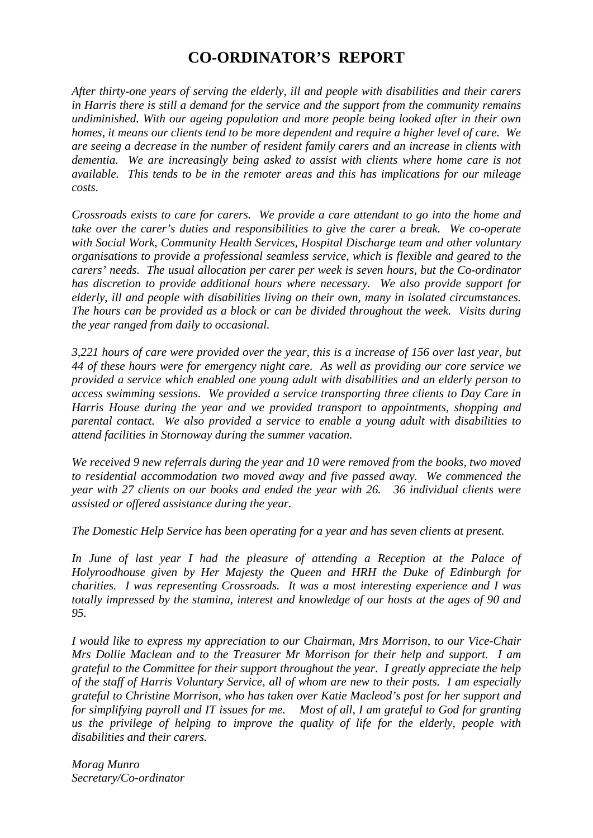## **CO-ORDINATOR'S REPORT**

*After thirty-one years of serving the elderly, ill and people with disabilities and their carers in Harris there is still a demand for the service and the support from the community remains undiminished. With our ageing population and more people being looked after in their own homes, it means our clients tend to be more dependent and require a higher level of care. We are seeing a decrease in the number of resident family carers and an increase in clients with dementia. We are increasingly being asked to assist with clients where home care is not available. This tends to be in the remoter areas and this has implications for our mileage costs.*

*Crossroads exists to care for carers. We provide a care attendant to go into the home and take over the carer's duties and responsibilities to give the carer a break. We co-operate with Social Work, Community Health Services, Hospital Discharge team and other voluntary organisations to provide a professional seamless service, which is flexible and geared to the carers' needs. The usual allocation per carer per week is seven hours, but the Co-ordinator has discretion to provide additional hours where necessary. We also provide support for elderly, ill and people with disabilities living on their own, many in isolated circumstances. The hours can be provided as a block or can be divided throughout the week. Visits during the year ranged from daily to occasional.*

*3,221 hours of care were provided over the year, this is a increase of 156 over last year, but 44 of these hours were for emergency night care. As well as providing our core service we provided a service which enabled one young adult with disabilities and an elderly person to access swimming sessions. We provided a service transporting three clients to Day Care in Harris House during the year and we provided transport to appointments, shopping and parental contact. We also provided a service to enable a young adult with disabilities to attend facilities in Stornoway during the summer vacation.*

*We received 9 new referrals during the year and 10 were removed from the books, two moved to residential accommodation two moved away and five passed away. We commenced the year with 27 clients on our books and ended the year with 26. 36 individual clients were assisted or offered assistance during the year.*

*The Domestic Help Service has been operating for a year and has seven clients at present.*

*In June of last year I had the pleasure of attending a Reception at the Palace of Holyroodhouse given by Her Majesty the Queen and HRH the Duke of Edinburgh for charities. I was representing Crossroads. It was a most interesting experience and I was totally impressed by the stamina, interest and knowledge of our hosts at the ages of 90 and 95.*

*I would like to express my appreciation to our Chairman, Mrs Morrison, to our Vice-Chair Mrs Dollie Maclean and to the Treasurer Mr Morrison for their help and support. I am grateful to the Committee for their support throughout the year. I greatly appreciate the help of the staff of Harris Voluntary Service, all of whom are new to their posts. I am especially grateful to Christine Morrison, who has taken over Katie Macleod's post for her support and for simplifying payroll and IT issues for me. Most of all, I am grateful to God for granting us the privilege of helping to improve the quality of life for the elderly, people with disabilities and their carers.*

*Morag Munro Secretary/Co-ordinator*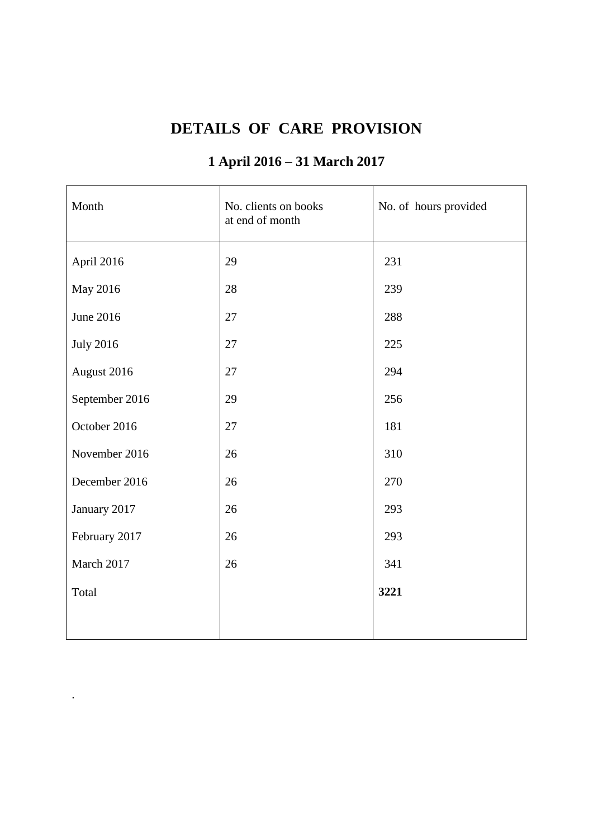# **DETAILS OF CARE PROVISION**

# **1 April 2016 – 31 March 2017**

| Month            | No. clients on books<br>at end of month | No. of hours provided |
|------------------|-----------------------------------------|-----------------------|
| April 2016       | 29                                      | 231                   |
| May 2016         | 28                                      | 239                   |
| June 2016        | 27                                      | 288                   |
| <b>July 2016</b> | 27                                      | 225                   |
| August 2016      | 27                                      | 294                   |
| September 2016   | 29                                      | 256                   |
| October 2016     | 27                                      | 181                   |
| November 2016    | 26                                      | 310                   |
| December 2016    | 26                                      | 270                   |
| January 2017     | 26                                      | 293                   |
| February 2017    | 26                                      | 293                   |
| March 2017       | 26                                      | 341                   |
| Total            |                                         | 3221                  |
|                  |                                         |                       |

.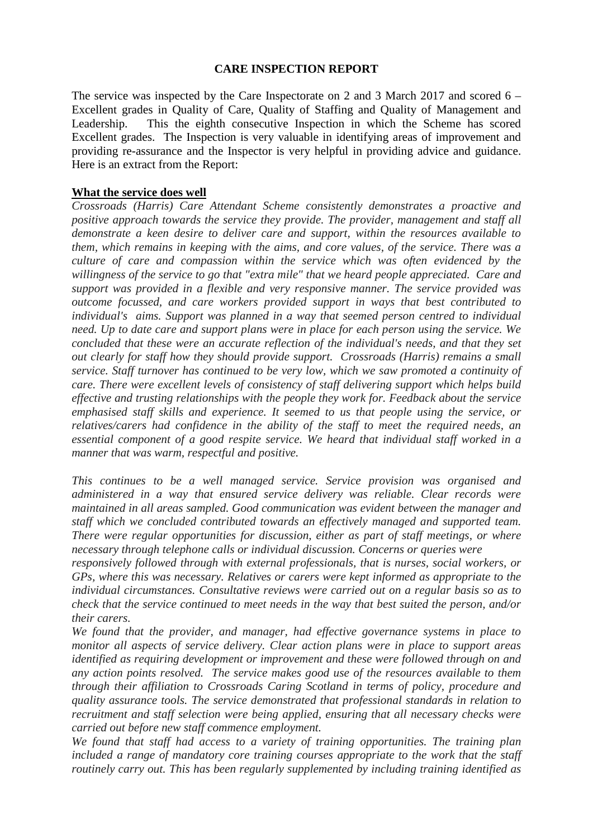#### **CARE INSPECTION REPORT**

The service was inspected by the Care Inspectorate on 2 and 3 March 2017 and scored 6 – Excellent grades in Quality of Care, Quality of Staffing and Quality of Management and Leadership. This the eighth consecutive Inspection in which the Scheme has scored Excellent grades. The Inspection is very valuable in identifying areas of improvement and providing re-assurance and the Inspector is very helpful in providing advice and guidance. Here is an extract from the Report:

#### **What the service does well**

*Crossroads (Harris) Care Attendant Scheme consistently demonstrates a proactive and positive approach towards the service they provide. The provider, management and staff all demonstrate a keen desire to deliver care and support, within the resources available to them, which remains in keeping with the aims, and core values, of the service. There was a culture of care and compassion within the service which was often evidenced by the willingness of the service to go that "extra mile" that we heard people appreciated. Care and support was provided in a flexible and very responsive manner. The service provided was outcome focussed, and care workers provided support in ways that best contributed to individual's aims. Support was planned in a way that seemed person centred to individual need. Up to date care and support plans were in place for each person using the service. We concluded that these were an accurate reflection of the individual's needs, and that they set out clearly for staff how they should provide support. Crossroads (Harris) remains a small service. Staff turnover has continued to be very low, which we saw promoted a continuity of care. There were excellent levels of consistency of staff delivering support which helps build effective and trusting relationships with the people they work for. Feedback about the service emphasised staff skills and experience. It seemed to us that people using the service, or relatives/carers had confidence in the ability of the staff to meet the required needs, an essential component of a good respite service. We heard that individual staff worked in a manner that was warm, respectful and positive.*

*This continues to be a well managed service. Service provision was organised and administered in a way that ensured service delivery was reliable. Clear records were maintained in all areas sampled. Good communication was evident between the manager and staff which we concluded contributed towards an effectively managed and supported team. There were regular opportunities for discussion, either as part of staff meetings, or where necessary through telephone calls or individual discussion. Concerns or queries were*

*responsively followed through with external professionals, that is nurses, social workers, or GPs, where this was necessary. Relatives or carers were kept informed as appropriate to the individual circumstances. Consultative reviews were carried out on a regular basis so as to check that the service continued to meet needs in the way that best suited the person, and/or their carers.*

*We found that the provider, and manager, had effective governance systems in place to monitor all aspects of service delivery. Clear action plans were in place to support areas identified as requiring development or improvement and these were followed through on and any action points resolved. The service makes good use of the resources available to them through their affiliation to Crossroads Caring Scotland in terms of policy, procedure and quality assurance tools. The service demonstrated that professional standards in relation to recruitment and staff selection were being applied, ensuring that all necessary checks were carried out before new staff commence employment.*

*We found that staff had access to a variety of training opportunities. The training plan included a range of mandatory core training courses appropriate to the work that the staff routinely carry out. This has been regularly supplemented by including training identified as*